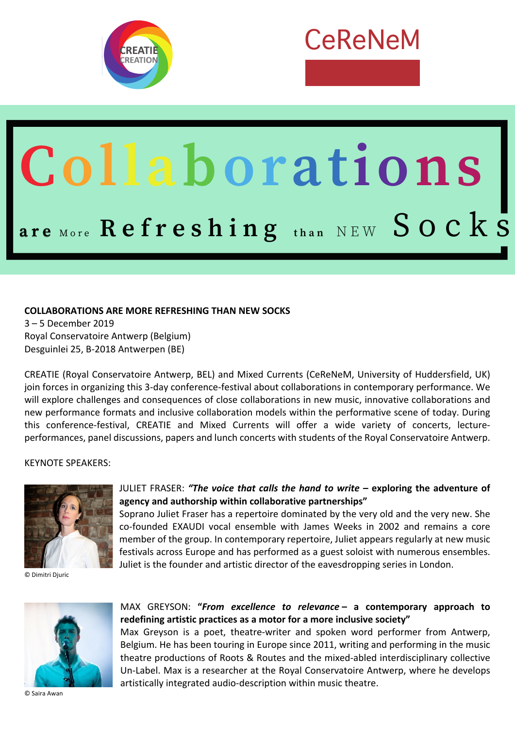

# CeReNeM

# Collaborations  $\bf{a}$   $\bf{r}$  **e**  $\bf{a}$  or  $\bf{e}$   $\bf{f}$  $\bf{r}$  **<b>e**  $\bf{s}$   $\bf{h}$  **i**  $\bf{n}$   $\bf{g}$  **than**  $NEW$   $\bf{S}$   $\bf{O}$   $\bf{C}$   $\bf{k}$   $\bf{S}$

# **COLLABORATIONS ARE MORE REFRESHING THAN NEW SOCKS**

3 – 5 December 2019 Royal Conservatoire Antwerp (Belgium) Desguinlei 25, B-2018 Antwerpen (BE)

CREATIE (Royal Conservatoire Antwerp, BEL) and Mixed Currents (CeReNeM, University of Huddersfield, UK) join forces in organizing this 3-day conference-festival about collaborations in contemporary performance. We will explore challenges and consequences of close collaborations in new music, innovative collaborations and new performance formats and inclusive collaboration models within the performative scene of today. During this conference-festival, CREATIE and Mixed Currents will offer a wide variety of concerts, lectureperformances, panel discussions, papers and lunch concerts with students of the Royal Conservatoire Antwerp.

#### KEYNOTE SPEAKERS:



© Dimitri Djuric

#### JULIET FRASER: *"The voice that calls the hand to write* **– exploring the adventure of agency and authorship within collaborative partnerships"**

Soprano Juliet Fraser has a repertoire dominated by the very old and the very new. She co-founded EXAUDI vocal ensemble with James Weeks in 2002 and remains a core member of the group. In contemporary repertoire, Juliet appears regularly at new music festivals across Europe and has performed as a guest soloist with numerous ensembles. Juliet is the founder and artistic director of the eavesdropping series in London.



© Saira Awan

MAX GREYSON: **"***From excellence to relevance* **– a contemporary approach to redefining artistic practices as a motor for a more inclusive society"**

Max Greyson is a poet, theatre-writer and spoken word performer from Antwerp, Belgium. He has been touring in Europe since 2011, writing and performing in the music theatre productions of Roots & Routes and the mixed-abled interdisciplinary collective Un-Label. Max is a researcher at the Royal Conservatoire Antwerp, where he develops artistically integrated audio-description within music theatre.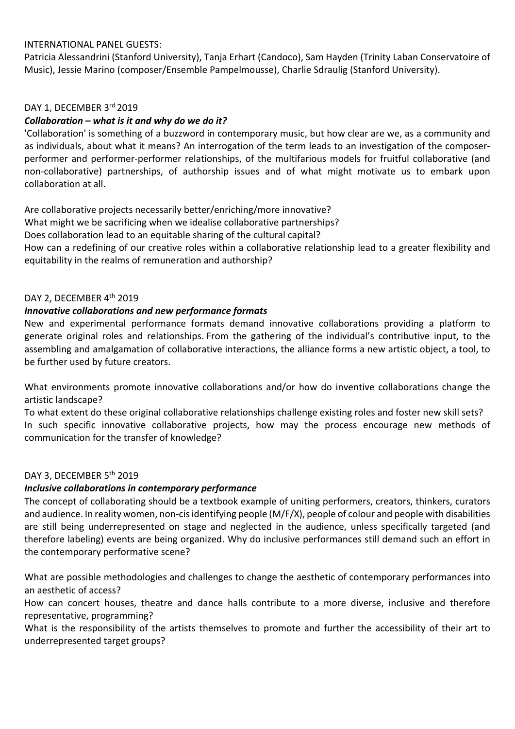# INTERNATIONAL PANEL GUESTS:

Patricia Alessandrini (Stanford University), Tanja Erhart (Candoco), Sam Hayden (Trinity Laban Conservatoire of Music), Jessie Marino (composer/Ensemble Pampelmousse), Charlie Sdraulig (Stanford University).

# DAY 1, DECEMBER 3rd 2019

# *Collaboration – what is it and why do we do it?*

'Collaboration' is something of a buzzword in contemporary music, but how clear are we, as a community and as individuals, about what it means? An interrogation of the term leads to an investigation of the composerperformer and performer-performer relationships, of the multifarious models for fruitful collaborative (and non-collaborative) partnerships, of authorship issues and of what might motivate us to embark upon collaboration at all.

Are collaborative projects necessarily better/enriching/more innovative?

What might we be sacrificing when we idealise collaborative partnerships?

Does collaboration lead to an equitable sharing of the cultural capital?

How can a redefining of our creative roles within a collaborative relationship lead to a greater flexibility and equitability in the realms of remuneration and authorship?

#### DAY 2, DECEMBER 4<sup>th</sup> 2019

# *Innovative collaborations and new performance formats*

New and experimental performance formats demand innovative collaborations providing a platform to generate original roles and relationships. From the gathering of the individual's contributive input, to the assembling and amalgamation of collaborative interactions, the alliance forms a new artistic object, a tool, to be further used by future creators.

What environments promote innovative collaborations and/or how do inventive collaborations change the artistic landscape?

To what extent do these original collaborative relationships challenge existing roles and foster new skill sets? In such specific innovative collaborative projects, how may the process encourage new methods of communication for the transfer of knowledge?

#### DAY 3, DECEMBER 5<sup>th</sup> 2019

#### *Inclusive collaborations in contemporary performance*

The concept of collaborating should be a textbook example of uniting performers, creators, thinkers, curators and audience. In reality women, non-cis identifying people (M/F/X), people of colour and people with disabilities are still being underrepresented on stage and neglected in the audience, unless specifically targeted (and therefore labeling) events are being organized. Why do inclusive performances still demand such an effort in the contemporary performative scene?

What are possible methodologies and challenges to change the aesthetic of contemporary performances into an aesthetic of access?

How can concert houses, theatre and dance halls contribute to a more diverse, inclusive and therefore representative, programming?

What is the responsibility of the artists themselves to promote and further the accessibility of their art to underrepresented target groups?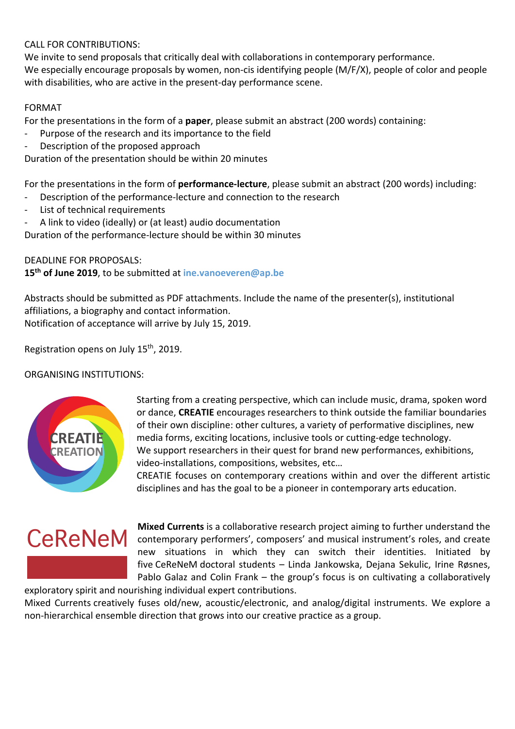# CALL FOR CONTRIBUTIONS:

We invite to send proposals that critically deal with collaborations in contemporary performance. We especially encourage proposals by women, non-cis identifying people (M/F/X), people of color and people with disabilities, who are active in the present-day performance scene.

# FORMAT

For the presentations in the form of a **paper**, please submit an abstract (200 words) containing:

- Purpose of the research and its importance to the field
- Description of the proposed approach

Duration of the presentation should be within 20 minutes

For the presentations in the form of **performance-lecture**, please submit an abstract (200 words) including:

- Description of the performance-lecture and connection to the research
- List of technical requirements
- A link to video (ideally) or (at least) audio documentation

Duration of the performance-lecture should be within 30 minutes

DEADLINE FOR PROPOSALS:

**15th of June 2019**, to be submitted at **ine.vanoeveren@ap.be**

Abstracts should be submitted as PDF attachments. Include the name of the presenter(s), institutional affiliations, a biography and contact information. Notification of acceptance will arrive by July 15, 2019.

Registration opens on July 15th, 2019.

ORGANISING INSTITUTIONS:



Starting from a creating perspective, which can include music, drama, spoken word or dance, **CREATIE** encourages researchers to think outside the familiar boundaries of their own discipline: other cultures, a variety of performative disciplines, new media forms, exciting locations, inclusive tools or cutting-edge technology. We support researchers in their quest for brand new performances, exhibitions, video-installations, compositions, websites, etc…

CREATIE focuses on contemporary creations within and over the different artistic disciplines and has the goal to be a pioneer in contemporary arts education.



**Mixed Currents** is a collaborative research project aiming to further understand the contemporary performers', composers' and musical instrument's roles, and create new situations in which they can switch their identities. Initiated by five CeReNeM doctoral students – Linda Jankowska, Dejana Sekulic, Irine Røsnes, Pablo Galaz and Colin Frank – the group's focus is on cultivating a collaboratively exploratory spirit and nourishing individual expert contributions.

Mixed Currents creatively fuses old/new, acoustic/electronic, and analog/digital instruments. We explore a non-hierarchical ensemble direction that grows into our creative practice as a group.